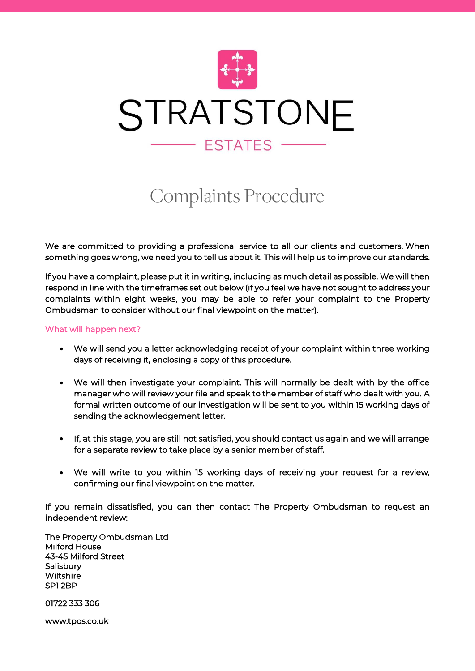

# Complaints Procedure

We are committed to providing a professional service to all our clients and customers. When something goes wrong, we need you to tell us about it. This will help us to improve our standards.

If you have a complaint, please put it in writing, including as much detail as possible. We will then respond in line with the timeframes set out below (if you feel we have not sought to address your complaints within eight weeks, you may be able to refer your complaint to the Property Ombudsman to consider without our final viewpoint on the matter).

## What will happen next?

- We will send you a letter acknowledging receipt of your complaint within three working days of receiving it, enclosing a copy of this procedure.
- We will then investigate your complaint. This will normally be dealt with by the office manager who will review your file and speak to the member of staff who dealt with you. A formal written outcome of our investigation will be sent to you within 15 working days of sending the acknowledgement letter.
- If, at this stage, you are still not satisfied, you should contact us again and we will arrange for a separate review to take place by a senior member of staff.
- We will write to you within 15 working days of receiving your request for a review, confirming our final viewpoint on the matter.

If you remain dissatisfied, you can then contact The Property Ombudsman to request an independent review:

The Property Ombudsman Ltd Milford House 43-45 Milford Street **Salisbury Wiltshire** SP1 2BP

01722 333 306

[www.tpos.co.uk](http://www.tpos.co.uk/)